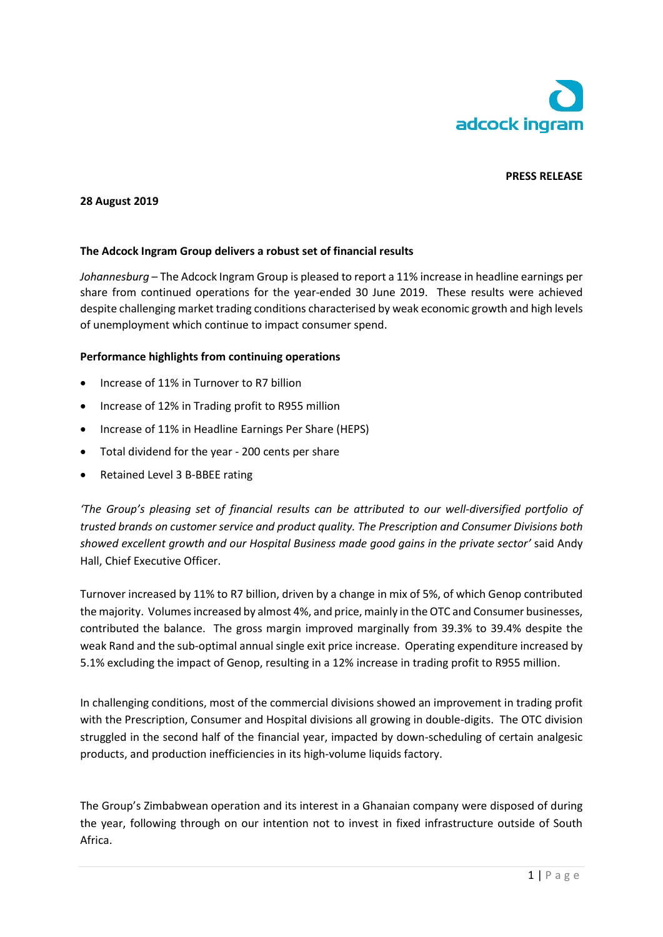

# **PRESS RELEASE**

### **28 August 2019**

#### **The Adcock Ingram Group delivers a robust set of financial results**

*Johannesburg* – The Adcock Ingram Group is pleased to report a 11% increase in headline earnings per share from continued operations for the year-ended 30 June 2019. These results were achieved despite challenging market trading conditions characterised by weak economic growth and high levels of unemployment which continue to impact consumer spend.

#### **Performance highlights from continuing operations**

- Increase of 11% in Turnover to R7 billion
- Increase of 12% in Trading profit to R955 million
- Increase of 11% in Headline Earnings Per Share (HEPS)
- Total dividend for the year 200 cents per share
- Retained Level 3 B-BBEE rating

*'The Group's pleasing set of financial results can be attributed to our well-diversified portfolio of trusted brands on customer service and product quality. The Prescription and Consumer Divisions both showed excellent growth and our Hospital Business made good gains in the private sector'* said Andy Hall, Chief Executive Officer.

Turnover increased by 11% to R7 billion, driven by a change in mix of 5%, of which Genop contributed the majority. Volumes increased by almost 4%, and price, mainly in the OTC and Consumer businesses, contributed the balance. The gross margin improved marginally from 39.3% to 39.4% despite the weak Rand and the sub-optimal annual single exit price increase. Operating expenditure increased by 5.1% excluding the impact of Genop, resulting in a 12% increase in trading profit to R955 million.

In challenging conditions, most of the commercial divisions showed an improvement in trading profit with the Prescription, Consumer and Hospital divisions all growing in double-digits. The OTC division struggled in the second half of the financial year, impacted by down-scheduling of certain analgesic products, and production inefficiencies in its high-volume liquids factory.

The Group's Zimbabwean operation and its interest in a Ghanaian company were disposed of during the year, following through on our intention not to invest in fixed infrastructure outside of South Africa.